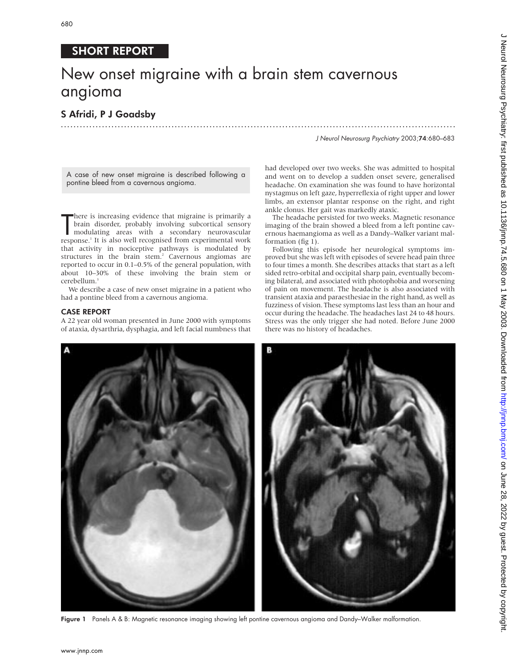## SHORT REPORT

# New onset migraine with a brain stem cavernous angioma

## S Afridi, P J Goadsby .............................................................................................................................

J Neurol Neurosurg Psychiatry 2003;74:680–683

A case of new onset migraine is described following a pontine bleed from a cavernous angioma.

There is increasing evidence that migraine is primarily a<br>brain disorder, probably involving subcortical sensory<br>modulating areas with a secondary neurovascular<br>response.<sup>1</sup> It is also well recognised from experimental wor here is increasing evidence that migraine is primarily a brain disorder, probably involving subcortical sensory modulating areas with a secondary neurovascular that activity in nociceptive pathways is modulated by structures in the brain stem.<sup>2</sup> Cavernous angiomas are reported to occur in 0.1–0.5% of the general population, with about 10–30% of these involving the brain stem or cerebellum.<sup>3</sup>

We describe a case of new onset migraine in a patient who had a pontine bleed from a cavernous angioma.

## CASE REPORT

A 22 year old woman presented in June 2000 with symptoms of ataxia, dysarthria, dysphagia, and left facial numbness that

had developed over two weeks. She was admitted to hospital and went on to develop a sudden onset severe, generalised headache. On examination she was found to have horizontal nystagmus on left gaze, hyperreflexia of right upper and lower limbs, an extensor plantar response on the right, and right ankle clonus. Her gait was markedly ataxic.

The headache persisted for two weeks. Magnetic resonance imaging of the brain showed a bleed from a left pontine cavernous haemangioma as well as a Dandy–Walker variant malformation (fig 1).

Following this episode her neurological symptoms improved but she was left with episodes of severe head pain three to four times a month. She describes attacks that start as a left sided retro-orbital and occipital sharp pain, eventually becoming bilateral, and associated with photophobia and worsening of pain on movement. The headache is also associated with transient ataxia and paraesthesiae in the right hand, as well as fuzziness of vision. These symptoms last less than an hour and occur during the headache. The headaches last 24 to 48 hours. Stress was the only trigger she had noted. Before June 2000 there was no history of headaches.



Figure 1 Panels A & B: Magnetic resonance imaging showing left pontine cavernous angioma and Dandy–Walker malformation.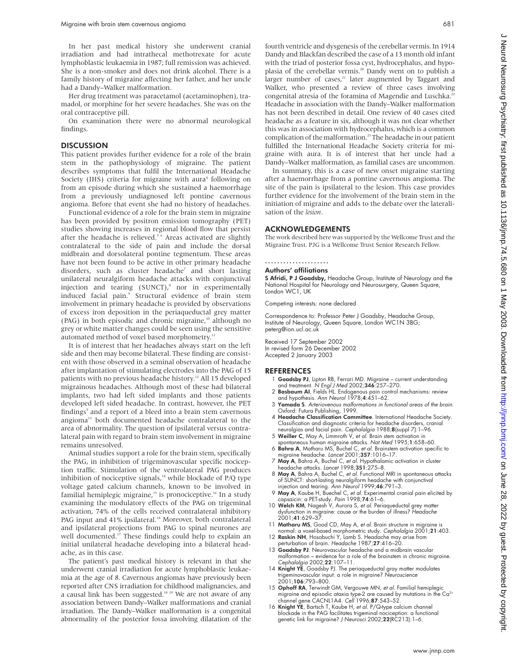In her past medical history she underwent cranial irradiation and had intrathecal methotrexate for acute lymphoblastic leukaemia in 1987; full remission was achieved. She is a non-smoker and does not drink alcohol. There is a family history of migraine affecting her father, and her uncle had a Dandy–Walker malformation.

Her drug treatment was paracetamol (acetaminophen), tramadol, or morphine for her severe headaches. She was on the oral contraceptive pill.

On examination there were no abnormal neurological findings.

### **DISCUSSION**

This patient provides further evidence for a role of the brain stem in the pathophysiology of migraine. The patient describes symptoms that fulfil the International Headache Society (IHS) criteria for migraine with aura<sup>4</sup> following on from an episode during which she sustained a haemorrhage from a previously undiagnosed left pontine cavernous angioma. Before that event she had no history of headaches.

Functional evidence of a role for the brain stem in migraine has been provided by positron emission tomography (PET) studies showing increases in regional blood flow that persist after the headache is relieved.<sup>56</sup> Areas activated are slightly contralateral to the side of pain and include the dorsal midbrain and dorsolateral pontine tegmentum. These areas have not been found to be active in other primary headache disorders, such as cluster headache<sup>7</sup> and short lasting unilateral neuralgiform headache attacks with conjunctival injection and tearing  $(SUNCT)<sup>s</sup>$  nor in experimentally induced facial pain.<sup>9</sup> Structural evidence of brain stem involvement in primary headache is provided by observations of excess iron deposition in the periaqueductal grey matter (PAG) in both episodic and chronic migraine,<sup>10</sup> although no grey or white matter changes could be seen using the sensitive automated method of voxel based morphometry.<sup>11</sup>

It is of interest that her headaches always start on the left side and then may become bilateral. These finding are consistent with those observed in a seminal observation of headache after implantation of stimulating electrodes into the PAG of 15 patients with no previous headache history.<sup>12</sup> All 15 developed migrainous headaches. Although most of these had bilateral implants, two had left sided implants and those patients developed left sided headache. In contrast, however, the PET findings<sup>5</sup> and a report of a bleed into a brain stem cavernous angioma<sup>13</sup> both documented headache contralateral to the area of abnormality. The question of ipsilateral versus contralateral pain with regard to brain stem involvement in migraine remains unresolved.

Animal studies support a role for the brain stem, specifically the PAG, in inhibition of trigeminovascular specific nociception traffic. Stimulation of the ventrolateral PAG produces inhibition of nociceptive signals, $14$  while blockade of P/Q type voltage gated calcium channels, known to be involved in familial hemiplegic migraine,<sup>15</sup> is pronociceptive.<sup>16</sup> In a study examining the modulatory effects of the PAG on trigeminal activation, 74% of the cells received contralateral inhibitory PAG input and 41% ipsilateral.<sup>14</sup> Moreover, both contralateral and ipsilateral projections from PAG to spinal neurones are well documented.<sup>17</sup> These findings could help to explain an initial unilateral headache developing into a bilateral headache, as in this case.

The patient's past medical history is relevant in that she underwent cranial irradiation for acute lymphoblastic leukaemia at the age of 8. Cavernous angiomas have previously been reported after CNS irradiation for childhood malignancies, and a causal link has been suggested.<sup>18 19</sup> We are not aware of any association between Dandy–Walker malformations and cranial irradiation. The Dandy–Walker malformation is a congenital abnormality of the posterior fossa involving dilatation of the fourth ventricle and dysgenesis of the cerebellar vermis. In 1914 Dandy and Blackfan described the case of a 13 month old infant with the triad of posterior fossa cyst, hydrocephalus, and hypoplasia of the cerebellar vermis.<sup>20</sup> Dandy went on to publish a larger number of cases,<sup>21</sup> later augmented by Taggart and Walker, who presented a review of three cases involving congenital atresia of the foramina of Magendie and Luschka.<sup>22</sup> Headache in association with the Dandy–Walker malformation has not been described in detail. One review of 40 cases cited headache as a feature in six, although it was not clear whether this was in association with hydrocephalus, which is a common complication of the malformation.<sup>23</sup> The headache in our patient fulfilled the International Headache Society criteria for migraine with aura. It is of interest that her uncle had a Dandy–Walker malformation, as familial cases are uncommon.

In summary, this is a case of new onset migraine starting after a haemorrhage from a pontine cavernous angioma. The site of the pain is ipsilateral to the lesion. This case provides further evidence for the involvement of the brain stem in the initiation of migraine and adds to the debate over the lateralisation of the *lesion*.

#### ACKNOWLEDGEMENTS

The work described here was supported by the Wellcome Trust and the Migraine Trust. PJG is a Wellcome Trust Senior Research Fellow.

## .....................

Authors' affiliations

S Afridi, P J Goadsby, Headache Group, Institute of Neurology and the National Hospital for Neurology and Neurosurgery, Queen Square, London WC1, UK

Competing interests: none declared

Correspondence to: Professor Peter J Goadsby, Headache Group, Institute of Neurology, Queen Square, London WC1N 3BG; peterg@ion.ucl.ac.uk

Received 17 September 2002 In revised form 26 December 2002 Accepted 2 January 2003

#### REFERENCES

- Goadsby PJ, Lipton RB, Ferrari MD. Migraine current understanding and treatment. N Engl J Med 2002;346:257–270.
- 2 Basbaum AI, Fields HL. Endogenous pain control mechanisms: review and hypothesis. Ann Neurol 1978;4:451–62.
- 3 Yamada S. Arteriovenous malformations in functional areas of the brain. Oxford: Futura Publishing, 1999.
- 4 Headache Classification Committee. International Headache Society. Classification and diagnostic criteria for headache disorders, cranial neuralgias and facial pain. Cephalalgia 1988;8(suppl 7):1–96. 5 Weiller C, May A, Limmroth V, et al. Brain stem activation in
- spontaneous human migraine attacks. Nat Med 1995;1:658–60.
- 6 Bahra A, Matharu MS, Buchel C, et al. Brainstem activation specific to migraine headache. Lancet 2001;357:1016–17.
- 7 May A, Bahra A, Buchel C, et al. Hypothalamic activation in cluster headache attacks. Lancet 1998;351:275–8.
- 8 May A, Bahra A, Buchel C, et al. Functional MRI in spontaneous attacks of SUNCT: short-lasting neuralgiform headache with conjunctival injection and tearing. Ann Neurol 1999;46:791–3.
- 9 May A, Kaube H, Buechel C, et al. Experimental cranial pain elicited by capsaicin: a PET-study. *Pain* 1998;**74**:61–6.<br>10 Welch KM, Nagesh V, Aurora S, *et al*. Periaqueductal grey matter
- dysfunction in migraine: cause or the burden of illness? Headache 2001;41:629–37.
- 11 Matharu MS, Good CD, May A, et al. Brain structure in migraine is normal: a voxel-based morphometric study. Cephalalgia 2001;21:403.
- 12 Raskin NH, Hosobuchi Y, Lamb S. Headache may arise from erturbation of brain. Headache 1987;**27**:416–20.
- 13 Goadsby PJ. Neurovascular headache and a midbrain vascular<br>13 Goadsby PJ. Neurovascular headache and a middle and a middle and a strong middle malformation – evidence for a role of the brainstem in chronic migraine. Cephalalgia 2002;22:107–11.
- 14 Knight YE, Goadsby PJ. The periaqueductal gray matter modulates trigeminovascular input: a role in migraine? Neuroscience 2001;106:793–800.
- 15 Ophoff RA, Terwindt GM, Vergouwe MN, et al. Familial hemiplegic migraine and episodic ataxia type-2 are caused by mutations in the Ca<sup>2+</sup><br>channel gene CACNL1A4. *Cell* 1996;**87**:543–52.
- 16 Knight YE, Bartsch T, Kaube H, et al. P/Q-type calcium channel blockade in the PAG facilitates trigeminal nociception: a functional genetic link for migraine? J Neurosci 2002;22(RC213):1-6.